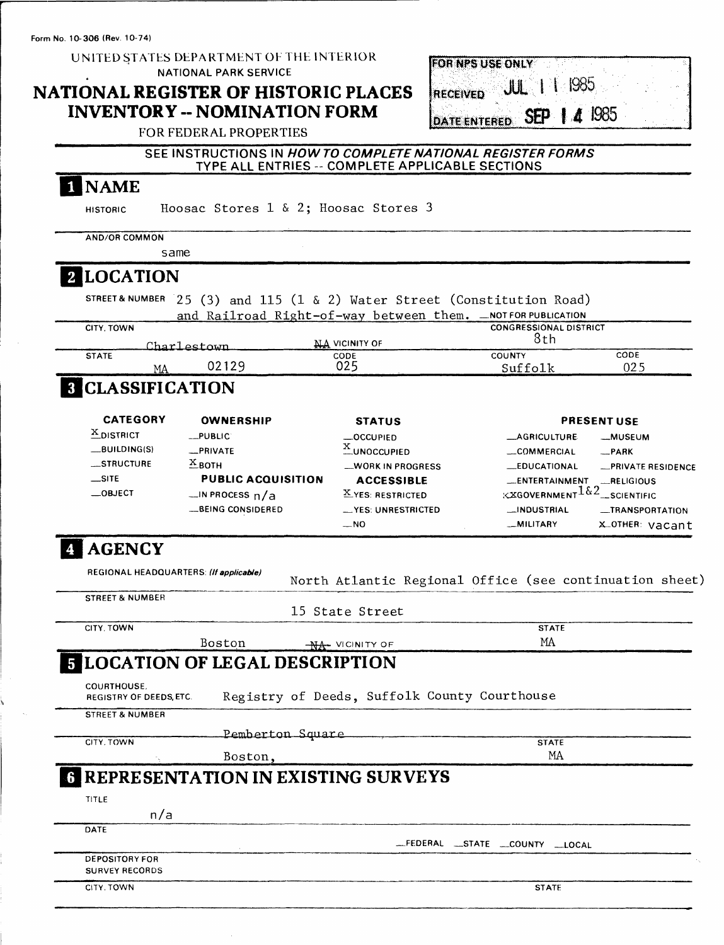Form No. **10-306** (Rev. 10-74)

UNITED STATES DEPARTMENT OF THE INTERIOR NATIONAL PARK SERVICE

## **NATIONAL REGISTER OF HISTORIC PLACES INVENTORY - NOMINATION FORM**

| FOR NPS USE ONLY                 |  |
|----------------------------------|--|
| RECEIVED JUL 1 1 1985            |  |
| DATE ENTERED <b>SEP   4</b> 1985 |  |

### FOR FEDERAL PROPERTIES

### SEE INSTRUCTIONS IN HOWTO COMPLETE NATIONAL REGISTER FORMS TYPE ALL ENTRIES -- COMPLETE APPLICABLE SECTIONS

## | NAME

HISTORIC Hoosac Stores 1 & 2; Hoosac Stores 3

AND/OR COMMON same

## **[LOCATION**

STREET& NUMBER 25 (3) and 115 (1 & 2) Water Street (Constitution Road) and Railroad Right-of-way between them. \_NOT FOR PUBLICATION

| CITY, TOWN   |    |              | $-1$           | <b>CONGRESSIONAL DISTRICT</b> |      |
|--------------|----|--------------|----------------|-------------------------------|------|
|              |    | Charlestown  | NA VICINITY OF | 8th                           |      |
| <b>STATE</b> |    |              | CODE           | <b>COUNTY</b>                 | CODE |
|              | MA | 02129<br>UZ. | 025            | Suffolk                       | 025  |

# **B** CLASSIFICATION

| <b>CATEGORY</b> | <b>OWNERSHIP</b>          | <b>STATUS</b>        |                                                   | <b>PRESENT USE</b> |
|-----------------|---------------------------|----------------------|---------------------------------------------------|--------------------|
| $X$ DISTRICT    | $-$ PUBLIC                | $-$ OCCUPIED         | <b>_AGRICULTURE</b>                               | -MUSEUM            |
| $-BULDING(S)$   | -PRIVATE                  | $X$ UNOCCUPIED       | COMMERCIAL                                        | -PARK              |
| STRUCTURE       | $X_{\text{BOTH}}$         | -WORK IN PROGRESS    | <b>LEDUCATIONAL</b>                               | -PRIVATE RESIDENCE |
| $\equiv$ SITE   | <b>PUBLIC ACQUISITION</b> | <b>ACCESSIBLE</b>    | _ENTERTAINMENT                                    | RELIGIOUS          |
| $\equiv$ OBJECT | $\Box$ IN PROCESS $n/a$   | $X$ YES: RESTRICTED  | <b>EXGOVERNMENT</b> $162$ <sub>--SCIENTIFIC</sub> |                    |
|                 | -BEING CONSIDERED         | __ YES: UNRESTRICTED | __INDUSTRIAL                                      | -TRANSPORTATION    |
|                 |                           | $-NO$                | __MILITARY                                        | X.OTHER:<br>vacant |

# **AGENCY**

| REGIONAL HEADQUARTERS: (If applicable)        |                                              | North Atlantic Regional Office (see continuation sheet) |
|-----------------------------------------------|----------------------------------------------|---------------------------------------------------------|
| <b>STREET &amp; NUMBER</b>                    |                                              |                                                         |
|                                               | 15 State Street                              |                                                         |
| CITY, TOWN                                    |                                              | <b>STATE</b>                                            |
| Boston                                        | <b>NA- VICINITY OF</b>                       | MA                                                      |
| <b>5 LOCATION OF LEGAL DESCRIPTION</b>        |                                              |                                                         |
| <b>COURTHOUSE.</b><br>REGISTRY OF DEEDS, ETC. | Registry of Deeds, Suffolk County Courthouse |                                                         |
| <b>STREET &amp; NUMBER</b>                    |                                              |                                                         |
|                                               | Pemberton Square                             |                                                         |
| CITY, TOWN                                    |                                              | <b>STATE</b>                                            |
| Boston,                                       |                                              | MA                                                      |
| <b>G REPRESENTATION IN EXISTING SURVEYS</b>   |                                              |                                                         |
| TITLE                                         |                                              |                                                         |
| n/a                                           |                                              |                                                         |
| DATE                                          |                                              |                                                         |
|                                               |                                              | FEDERAL STATE COUNTY LOCAL                              |
| <b>DEPOSITORY FOR</b>                         |                                              |                                                         |
| <b>SURVEY RECORDS</b>                         |                                              |                                                         |
| CITY, TOWN                                    |                                              | <b>STATE</b>                                            |
|                                               |                                              |                                                         |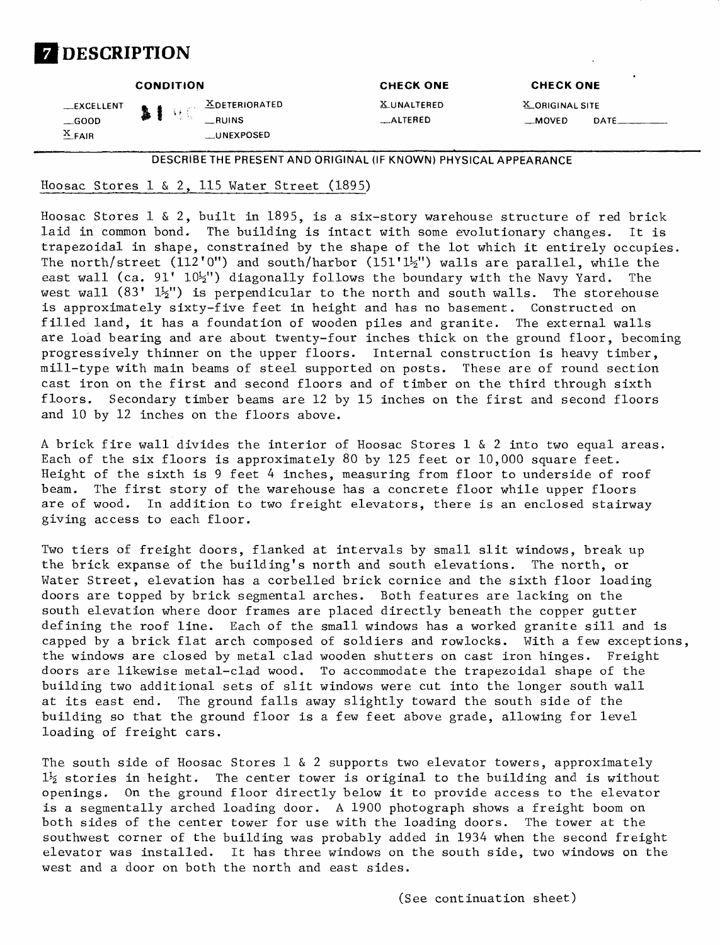

|                                     |              | <b>CONDITION</b> |                                                           | <b>CHECK ONE</b>               | <b>CHECK ONE</b>                |                         |
|-------------------------------------|--------------|------------------|-----------------------------------------------------------|--------------------------------|---------------------------------|-------------------------|
| __EXCELLENT<br>$-$ GOOD<br>$X$ FAIR | $\mathbf{H}$ |                  | $\mathbb{Z}$ DETERIORATED<br>$-MINS$<br><b>LUNEXPOSED</b> | <b>X_UNALTERED</b><br>_ALTERED | X_ORIGINAL SITE<br><b>MOVED</b> | $DATE$ <sub>_____</sub> |
|                                     |              |                  |                                                           |                                |                                 |                         |

DESCRIBE THE PRESENT AND ORIGINAL (IF KNOWN) PHYSICAL APPEARANCE

### Hoosac Stores  $1 \& 2$ , 115 Water Street (1895)

Hoosac Stores  $1 \& 2$ , built in 1895, is a six-story warehouse structure of red brick laid in common bond. The building is intact with some evolutionary changes. It is trapezoidal in shape, constrained by the shape of the lot which it entirely occupies. The north/street (112'0") and south/harbor (151' $1\frac{1}{2}$ ") walls are parallel, while the east wall (ca.  $91'$   $10\frac{1}{2}$ ") diagonally follows the boundary with the Navy Yard. The west wall  $(83' 1\frac{1}{3})'$  is perpendicular to the north and south walls. The storehouse is approximately sixty-five feet in height and has no basement. Constructed on filled land, it has a foundation of wooden piles and granite. The external walls are load bearing and are about twenty-four inches thick on the ground floor, becoming progressively thinner on the upper floors. Internal construction is heavy timber, mill-type with main beams of steel supported on posts. These are of round section cast iron on the first and second floors and of timber on the third through sixth floors. Secondary timber beams are 12 by 15 inches on the first and second floors and 10 by 12 inches on the floors above.

A brick fire wall divides the interior of Hoosac Stores 1 & 2 into two equal areas. Each of the six floors is approximately 80 by 125 feet or 10,000 square feet. Height of the sixth is 9 feet 4 inches, measuring from floor to underside of roof beam. The first story of the warehouse has a concrete floor while upper floors are of wood. In addition to two freight elevators, there is an enclosed stairway giving access to each floor.

Two tiers of freight doors, flanked at intervals by small slit windows, break up the brick expanse of the building's north and south elevations. The north, or Water Street, elevation has a corbelled brick cornice and the sixth floor loading doors are topped by brick segmental arches. Both features are lacking on the south elevation where door frames are placed directly beneath the copper gutter defining the roof line. Each of the small windows has a worked granite sill and is capped by a brick flat arch composed of soldiers and rowlocks. With a few exceptions, the windows are closed by metal clad wooden shutters on cast iron hinges. Freight doors are likewise metal-clad wood. To accommodate the trapezoidal shape of the building two additional sets of slit windows were cut into the longer south wall at its east end. The ground falls away slightly toward the south side of the building so that the ground floor is a few feet above grade, allowing for level loading of freight cars.

The south side of Hoosac Stores 1 & 2 supports two elevator towers, approximately  $1\frac{1}{2}$  stories in height. The center tower is original to the building and is without openings. On the ground floor directly below it to provide access to the elevator is a segmentally arched loading door. A 1900 photograph shows a freight boom on both sides of the center tower for use with the loading doors. The tower at the southwest corner of the building was probably added in 1934 when the second freight elevator was installed. It has three windows on the south side, two windows on the west and a door on both the north and east sides.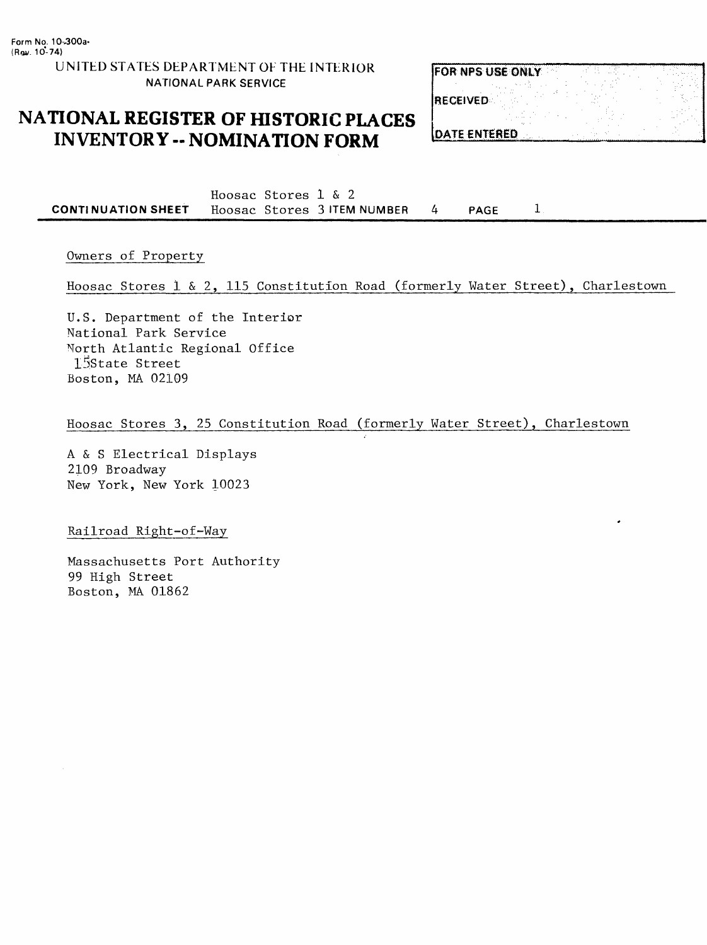**UNITED STATES DEPARTMENT OF THE INTERIOR NATIONAL PARK SERVICE**

## **NATIONAL REGISTER OF HISTORIC PLACES INVENTORY -- NOMINATION FORM**

| <b>FOR NPS USE ONLY</b> |  |
|-------------------------|--|
|                         |  |
| <b>RECEIVED</b>         |  |
|                         |  |
| <b>DATE ENTERED</b>     |  |

**Hoosac Stores 1 & 2 CONTINUATION SHEET Hoosac Stores 3 ITEM NUMBER 4 PAGE**  $\mathbf{1}$ 

Owners of Property

Hoosac Stores 1 & 2, 115 Constitution Road (formerly Water Street), Charlestown

U.S. Department of the Interior National Park Service North Atlantic Regional Office 1-Sstate Street Boston, MA 02109

Hoosac Stores 3, 25 Constitution Road (formerly Water Street), Charlestown

A & S Electrical Displays 2109 Broadway New York, New York 10023

Railroad Right-of-Way

Massachusetts Port Authority 99 High Street Boston, MA 01862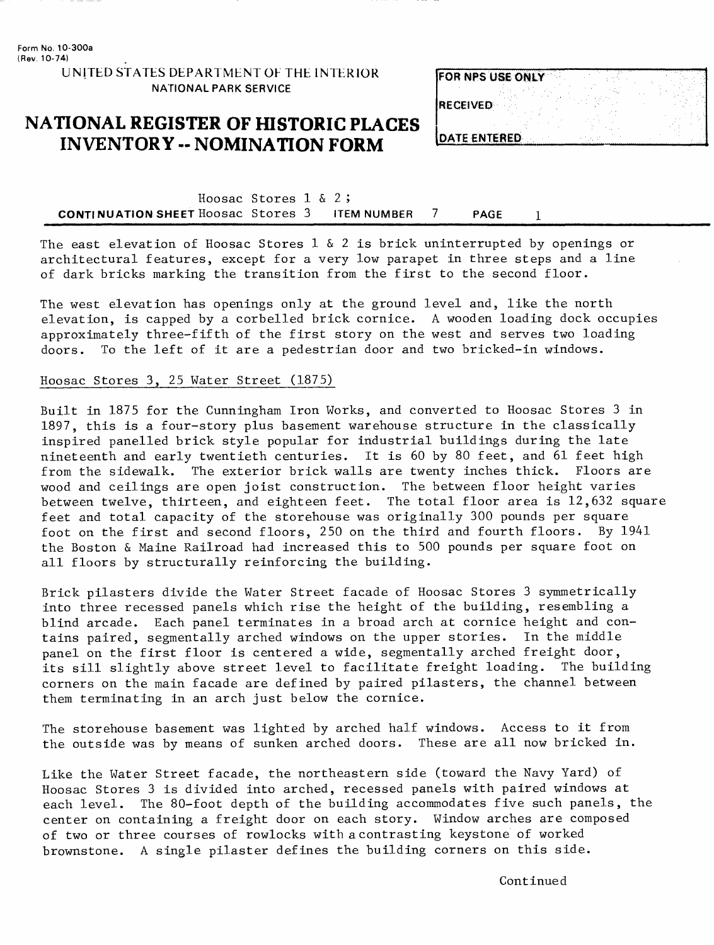**UNITED STATES DEPARTMENT OF THE INTERIOR NATIONAL PARK SERVICE**

## **NATIONAL REGISTER OF HISTORIC PLACES INVENTORY -- NOMINATION FORM**

| <b>FOR NPS USE ONLY</b> |  |
|-------------------------|--|
| <b>RECEIVED</b>         |  |
| DATE ENTERED            |  |

Hoosac Stores 1 & 2; **CONTINUATION SHEET Hoosac Stores 3 ITEM NUMBER 7 PAGE 1**

The east elevation of Hoosac Stores 1  $\&$  2 is brick uninterrupted by openings or architectural features, except for a very low parapet in three steps and a line of dark bricks marking the transition from the first to the second floor.

The west elevation has openings only at the ground level and, like the north elevation, is capped by a corbelled brick cornice. A wooden loading dock occupies approximately three-fifth of the first story on the west and serves two loading doors. To the left of it are a pedestrian door and two bricked-in windows.

### Hoosac Stores 3, 25 Water Street (1875)

Built in 1875 for the Cunningham Iron Works, and converted to Hoosac Stores 3 in 1897, this is a four-story plus basement warehouse structure in the classically inspired panelled brick style popular for industrial buildings during the late nineteenth and early twentieth centuries. It is 60 by 80 feet, and 61 feet high from the sidewalk. The exterior brick walls are twenty inches thick. Floors are wood and ceilings are open joist construction. The between floor height varies between twelve, thirteen, and eighteen feet. The total floor area is 12,632 square feet and total capacity of the storehouse was originally 300 pounds per square foot on the first and second floors, 250 on the third and fourth floors. By 1941 the Boston & Maine Railroad had increased this to 500 pounds per square foot on all floors by structurally reinforcing the building.

Brick pilasters divide the Water Street facade of Hoosac Stores 3 symmetrically into three recessed panels which rise the height of the building, resembling a blind arcade. Each panel terminates in a broad arch at cornice height and contains paired, segmentally arched windows on the upper stories. In the middle panel on the first floor is centered a wide, segmentally arched freight door, its sill slightly above street level to facilitate freight loading. The building corners on the main facade are defined by paired pilasters, the channel between them terminating in an arch just below the cornice.

The storehouse basement was lighted by arched half windows. Access to it from the outside was by means of sunken arched doors. These are all now bricked in.

Like the Water Street facade, the northeastern side (toward the Navy Yard) of Hoosac Stores 3 is divided into arched, recessed panels with paired windows at each level. The 80-foot depth of the building accommodates five such panels, the center on containing a freight door on each story. Window arches are composed of two or three courses of rowlocks with a contrasting keystone of worked brownstone. A single pilaster defines the building corners on this side.

Continued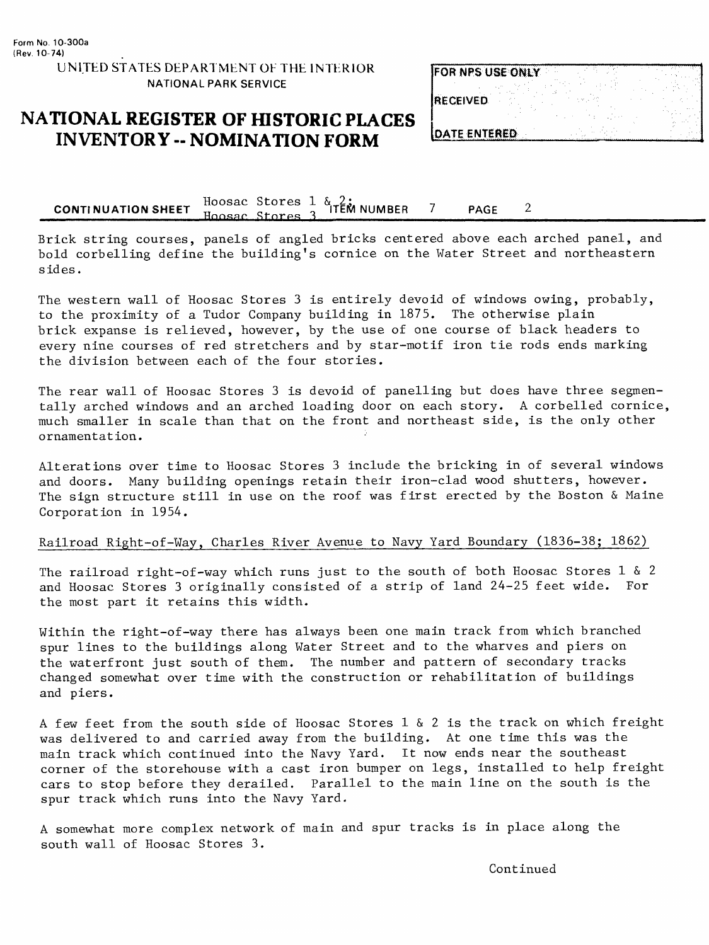## **NATIONAL REGISTER OF HISTORIC PLACES INVENTORY -- NOMINATION FORM**

| <b>FOR NPS USE ONLY</b> |  |
|-------------------------|--|
| <b>RECEIVED</b>         |  |
| <b>IDATE ENTERED</b>    |  |

**CONTINUATION SHEET** Hoosac Stores 1 & 2;<br>**CONTINUATION SHEET** These Charles 2 ITEM NUMBER 7 PAGE  $\overline{2}$ 

Brick string courses, panels of angled bricks centered above each arched panel, and bold corbelling define the building's cornice on the Water Street and northeastern s id es .

The western wall of Hoosac Stores 3 is entirely devoid of windows owing, probably, to the proximity of a Tudor Company building in 1875. The otherwise plain brick expanse is relieved, however, by the use of one course of black headers to every nine courses of red stretchers and by star-motif iron tie rods ends marking the division between each of the four stories.

The rear wall of Hoosac Stores 3 is devoid of panelling but does have three segmentally arched windows and an arched loading door on each story. A corbelled cornice, much smaller in scale than that on the front and northeast side, is the only other ornamentation.

Alterations over time to Hoosac Stores 3 include the bricking in of several windows and doors. Many building openings retain their iron-clad wood shutters, however. The sign structure still in use on the roof was first erected by the Boston & Maine Corporation in 1954.

### Railroad Right-of-Way, Charles River Avenue to Navy Yard Boundary (1836-38; 1862)

The railroad right-of-way which runs just to the south of both Hoosac Stores 1 & 2 and Hoosac Stores 3 originally consisted of a strip of land 24-25 feet wide. For the most part it retains this width.

Within the right-of-way there has always been one main track from which branched spur lines to the buildings along Water Street and to the wharves and piers on the waterfront just south of them. The number and pattern of secondary tracks changed somewhat over time with the construction or rehabilitation of buildings and piers.

A few feet from the south side of Hoosac Stores  $1 \& 2$  is the track on which freight was delivered to and carried away from the building. At one time this was the main track which continued into the Navy Yard. It now ends near the southeast corner of the storehouse with a cast iron bumper on legs, installed to help freight cars to stop before they derailed. Parallel to the main line on the south is the spur track which runs into the Navy Yard.

A somewhat more complex network of main and spur tracks is in place along the south wall of Hoosac Stores 3.

Continued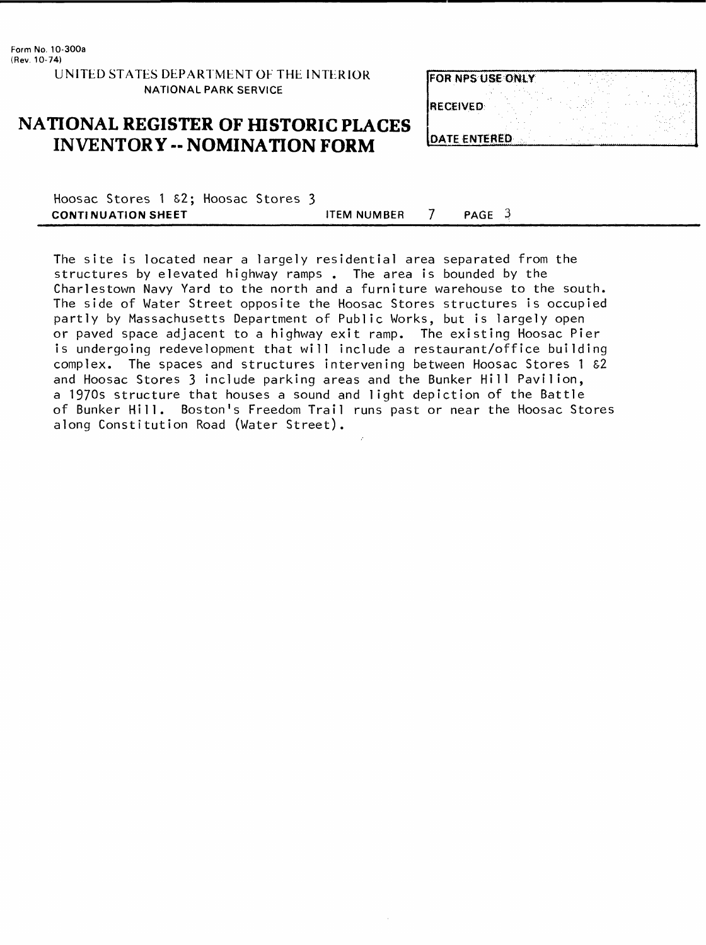UNITED STATES DEPARTMENT OF THE INTERIOR NATIONAL PARK SERVICE

## **NATIONAL REGISTER OF HISTORIC PLACES INVENTORY - NOMINATION FORM**

| <b>FOR NPS USE ONLY</b> |  |
|-------------------------|--|
| <b>IRECEIVED</b>        |  |
|                         |  |
| <b>IDATE ENTERED</b>    |  |

Hoosac Stores 1 S2; Hoosac Stores 3 **CONTINUATION SHEET ITEM NUMBER** 7 **PAGE** 3

The site is located near a largely residential area separated from the structures by elevated highway ramps . The area is bounded by the Charlestown Navy Yard to the north and a furniture warehouse to the south. The side of Water Street opposite the Hoosac Stores structures is occupied partly by Massachusetts Department of Public Works, but is largely open or paved space adjacent to a highway exit ramp. The existing Hoosac Pier is undergoing redevelopment that will include a restaurant/office building complex. The spaces and structures intervening between Hoosac Stores 1 &2 and Hoosac Stores 3 include parking areas and the Bunker Hill Pavilion, a 1970s structure that houses a sound and light depiction of the Battle of Bunker Hill. Boston's Freedom Trail runs past or near the Hoosac Stores along Constitution Road (Water Street).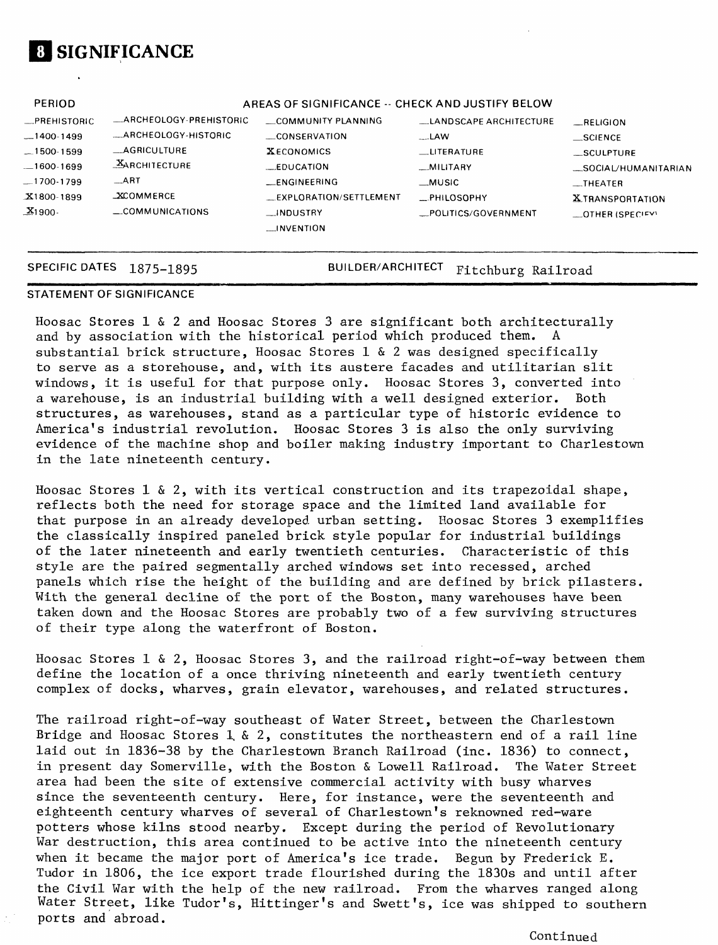

| PERIOD                |                                    | AREAS OF SIGNIFICANCE -- CHECK AND JUSTIFY BELOW          |                                    |                                                    |
|-----------------------|------------------------------------|-----------------------------------------------------------|------------------------------------|----------------------------------------------------|
| _PREHISTORIC          | _ARCHEOLOGY-PREHISTORIC            | COMMUNITY PLANNING                                        | LANDSCAPE ARCHITECTURE             | RELIGION                                           |
| $-1400 - 1499$        | -ARCHEOLOGY-HISTORIC               | CONSERVATION                                              | $-LAW$                             | $\equiv$ SCIENCE                                   |
| $-1500 - 1599$        | $\_AGRICULTURE$                    | <b>XECONOMICS</b>                                         | $_{\perp}$ LITERATURE              | _SCULPTURE                                         |
| $-1600-1699$          | <b>XARCHITECTURE</b>               | $L$ EDUCATION                                             | _MILITARY                          | _SOCIAL/HUMANITARIAN                               |
| $-1700-1799$          | $\_ART$                            | __FNGINEERING                                             | $_M$ usic                          | $\equiv$ THEATER                                   |
| $X1800-1899$<br>X1900 | <b>XCOMMERCE</b><br>COMMUNICATIONS | LEXPLORATION/SETTLEMENT<br>__INDUSTRY<br>$\sim$ INVENTION | PHILOSOPHY<br>_POLITICS/GOVERNMENT | <b>XTRANSPORTATION</b><br>$\equiv$ OTHER (SPECIFY) |

SPECIFIC DATES 1875-1895 BUILDER/ARCHITECT Fitchburg Railroad

### **STATEMENT OF SIGNIFICANCE**

Hoosac Stores 1 & 2 and Hoosac Stores 3 are significant both architecturally and by association with the historical period which produced them. A substantial brick structure, Hoosac Stores 1 & 2 was designed specifically to serve as a storehouse, and, with its austere facades and utilitarian slit windows, it is useful for that purpose only. Hoosac Stores 3, converted into a warehouse, is an industrial building with a well designed exterior. Both structures, as warehouses, stand as a particular type of historic evidence to America's industrial revolution. Hoosac Stores 3 is also the only surviving evidence of the machine shop and boiler making industry important to Charlestown in the late nineteenth century.

Hoosac Stores  $1 \& 2$ , with its vertical construction and its trapezoidal shape, reflects both the need for storage space and the limited land available for that purpose in an already developed urban setting. Hoosac Stores 3 exemplifies the classically inspired paneled brick style popular for industrial buildings of the later nineteenth and early twentieth centuries. Characteristic of this style are the paired segmentally arched windows set into recessed, arched panels which rise the height of the building and are defined by brick pilasters. With the general decline of the port of the Boston, many warehouses have been taken down and the Hoosac Stores are probably two of a few surviving structures of their type along the waterfront of Boston.

Hoosac Stores  $1 \& 2$ , Hoosac Stores 3, and the railroad right-of-way between them define the location of a once thriving nineteenth and early twentieth century complex of docks, wharves, grain elevator, warehouses, and related structures.

The railroad right-of-way southeast of Water Street, between the Charlestown Bridge and Hoosac Stores  $1, 2,$  constitutes the northeastern end of a rail line laid out in 1836-38 by the Charlestown Branch Railroad (inc. 1836) to connect, in present day Somerville, with the Boston & Lowell Railroad. The Water Street area had been the site of extensive commercial activity with busy wharves since the seventeenth century. Here, for instance, were the seventeenth and eighteenth century wharves of several of Charlestown's reknowned red-ware potters whose kilns stood nearby. Except during the period of Revolutionary War destruction, this area continued to be active into the nineteenth century when it became the major port of America's ice trade. Begun by Frederick E. Tudor in 1806, the ice export trade flourished during the 1830s and until after the Civil War with the help of the new railroad. From the wharves ranged along Water Street, like Tudor's, Hittinger's and Swett's, ice was shipped to southern ports and abroad.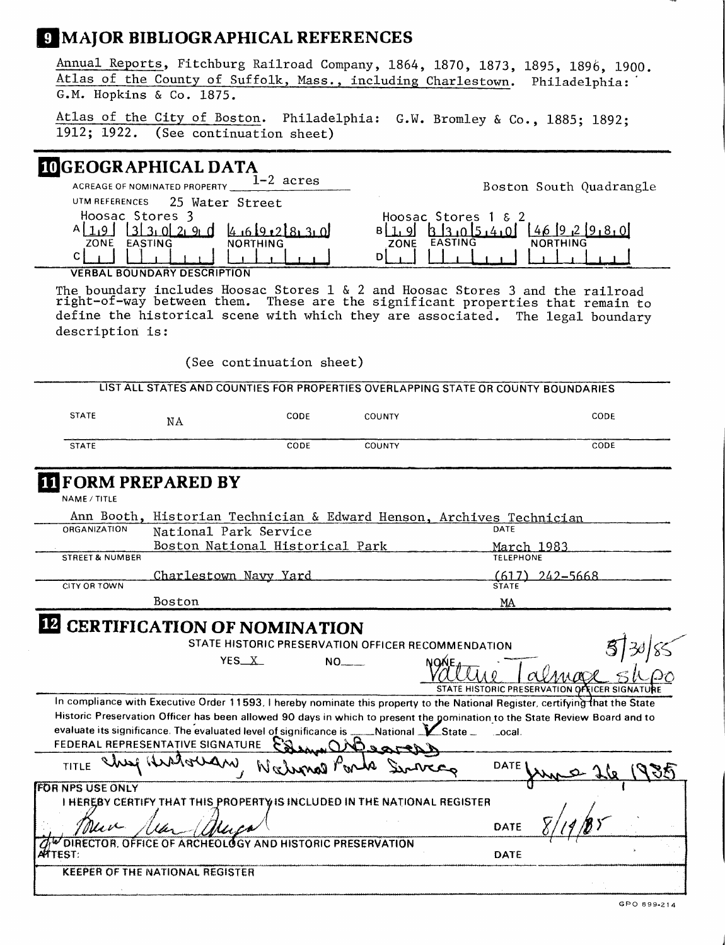## **MAJOR BIBLIOGRAPHICAL REFERENCES**

Annual Reports, Fitchburg Railroad Company, 1864, 1870, 1873, 1895, 1896, 1900. Atlas of the County of Suffolk, Mass., including Charlestown. Philadelphia: ' G.M. Hopkins & Co. 1875.

Atlas of the City of Boston. Philadelphia: G.W. Bromley & Co., 1885; 1892; 1912; 1922. (See continuation sheet)

### **GEOGRAPHICAL DATA**

| $1-2$ acres<br>ACREAGE OF NOMINATED PROPERTY   | Boston South Quadrangle                   |
|------------------------------------------------|-------------------------------------------|
| 25.<br>UTM REFERENCES<br>Water Street          |                                           |
| Hoosac Stores                                  | Hoosac Stores $1 \& 2$                    |
| 133.029 d<br>4.619.218.3.0                     | $k \cdot 13 \cdot 015 \cdot 4 \cdot 01$   |
| ZONE<br><b>EASTING</b><br><b>NORTHING</b><br>С | <b>EASTING</b><br><b>NORTHING</b><br>ZONE |
|                                                |                                           |

**VERBAL BOUNDARY DESCRIPTION**

The boundary includes Hoosac Stores 1 & 2 and Hoosac Stores 3 and the railroad right-of-way between them. These are the significant properties that remain to define the historical scene with which they are associated. The legal boundary description is:

(See continuation sheet)

LIST ALL STATES AND COUNTIES FOR PROPERTIES OVERLAPPING STATE OR COUNTY BOUNDARIES

| <b>STATE</b> | ΝA | CODE | COUNTY        | CODE       |
|--------------|----|------|---------------|------------|
| <b>STATE</b> |    | CODE | <b>COUNTY</b> | --<br>CODE |

# **FORM PREPARED BY**

NAME /TITLE

|                            | Ann Booth, Historian Technician & Edward Henson, Archives Technician |                  |
|----------------------------|----------------------------------------------------------------------|------------------|
| <b>ORGANIZATION</b>        | National Park Service                                                | DATE             |
|                            | Boston National Historical Park                                      | March 1983       |
| <b>STREET &amp; NUMBER</b> |                                                                      | <b>TELEPHONE</b> |
|                            | Charlestown Navy Yard                                                | $(617)$ 242-5668 |
| CITY OR TOWN               |                                                                      | <b>STATE</b>     |
|                            | Boston                                                               | MA               |

# **LE CERTIFICATION OF NOMINATION**

| STATE HISTORIC PRESERVATION OFFICER RECOMMENDATION                                                                                     |                                                |  |
|----------------------------------------------------------------------------------------------------------------------------------------|------------------------------------------------|--|
| YES X<br>NO.                                                                                                                           | STATE HISTORIC PRESERVATION OF FICER SIGNATURE |  |
| In compliance with Executive Order 11593, I hereby nominate this property to the National Register, certifying that the State          |                                                |  |
| Historic Preservation Officer has been allowed 90 days in which to present the gomination to the State Review Board and to             |                                                |  |
| evaluate its significance. The evaluated level of significance is ____National K State _<br>FEDERAL REPRESENTATIVE SIGNATURE<br>Gerach | …ocal.                                         |  |
| TITLE                                                                                                                                  | DATE <sup>®</sup>                              |  |
| <b>FOR NPS USE ONLY</b>                                                                                                                |                                                |  |
| I HEREBY CERTIFY THAT THIS PROPERTY IS INCLUDED IN THE NATIONAL REGISTER                                                               |                                                |  |
| New<br>Muca                                                                                                                            | DATE                                           |  |
| OW DIRECTOR, OFFICE OF ARCHEOLOGY AND HISTORIC PRESERVATION<br>AATTEST:                                                                | DATE                                           |  |
| KEEPER OF THE NATIONAL REGISTER                                                                                                        |                                                |  |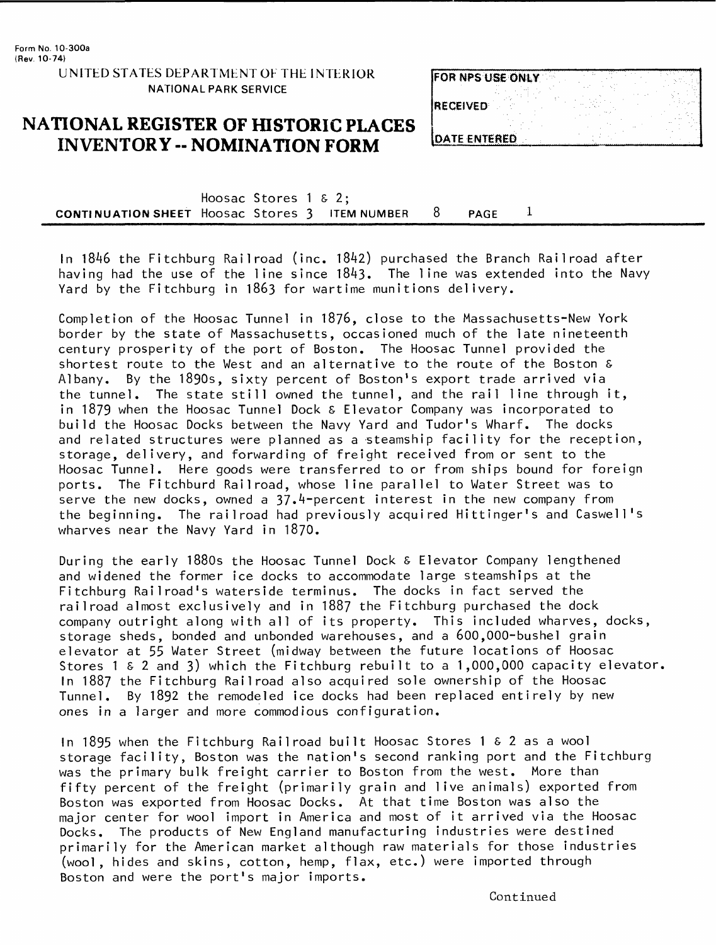**UNITED STATES DEPARTMENT OF THE INTERIOR NATIONAL PARK SERVICE**

### **NATIONAL REGISTER OF HISTORIC PLACES INVENTORY -- NOMINATION FORM**

| <b>FOR NPS USE ONLY</b> |  |
|-------------------------|--|
| <b>IRECEIVED</b>        |  |
| <b>DATE ENTERED</b>     |  |

Hoosac Stores 1 & 2; **CONTINUATION SHEET** Hoosac Stores 3 ITEM NUMBER 8 PAGE 1

In 1846 the Fitchburg Railroad (inc. 18^2) purchased the Branch Railroad after having had the use of the line since  $1843.$  The line was extended into the Navy Yard by the Fitchburg in 1863 for wartime munitions delivery.

Completion of the Hoosac Tunnel in 1876, close to the Massachusetts-New York border by the state of Massachusetts, occasioned much of the late nineteenth century prosperity of the port of Boston. The Hoosac Tunnel provided the shortest route to the West and an alternative to the route of the Boston & Albany. By the 1890s, sixty percent of Boston's export trade arrived via the tunnel. The state still owned the tunnel, and the rail line through it, in 1879 when the Hoosac Tunnel Dock & Elevator Company was incorporated to build the Hoosac Docks between the Navy Yard and Tudor's Wharf. The docks and related structures were planned as a steamship facility for the reception, storage, delivery, and forwarding of freight received from or sent to the Hoosac Tunnel. Here goods were transferred to or from ships bound for foreign ports. The Fitchburd Railroad, whose line parallel to Water Street was to serve the new docks, owned a  $37.4$ -percent interest in the new company from the beginning. The railroad had previously acquired Hittinger's and Caswell's wharves near the Navy Yard in 1870.

During the early 1880s the Hoosac Tunnel Dock & Elevator Company lengthened and widened the former ice docks to accommodate large steamships at the Fitchburg Railroad's waterside terminus. The docks in fact served the railroad almost exclusively and in 1887 the Fitchburg purchased the dock company outright along with all of its property. This included wharves, docks, storage sheds, bonded and unbonded warehouses, and a 600,000-bushel grain elevator at 55 Water Street (midway between the future locations of Hoosac Stores 1 & 2 and 3) which the Fitchburg rebuilt to a 1,000,000 capacity elevator, In 1887 the Fitchburg Railroad also acquired sole ownership of the Hoosac Tunnel. By 1892 the remodeled ice docks had been replaced entirely by new ones in a larger and more commodious configuration.

In 1895 when the Fitchburg Railroad built Hoosac Stores 1 & 2 as a wool storage facility, Boston was the nation's second ranking port and the Fitchburg was the primary bulk freight carrier to Boston from the west. More than fifty percent of the freight (primarily grain and live animals) exported from Boston was exported from Hoosac Docks. At that time Boston was also the major center for wool import in America and most of it arrived via the Hoosac Docks. The products of New England manufacturing industries were destined primarily for the American market although raw materials for those industries (wool, hides and skins, cotton, hemp, flax, etc.) were imported through Boston and were the port's major imports.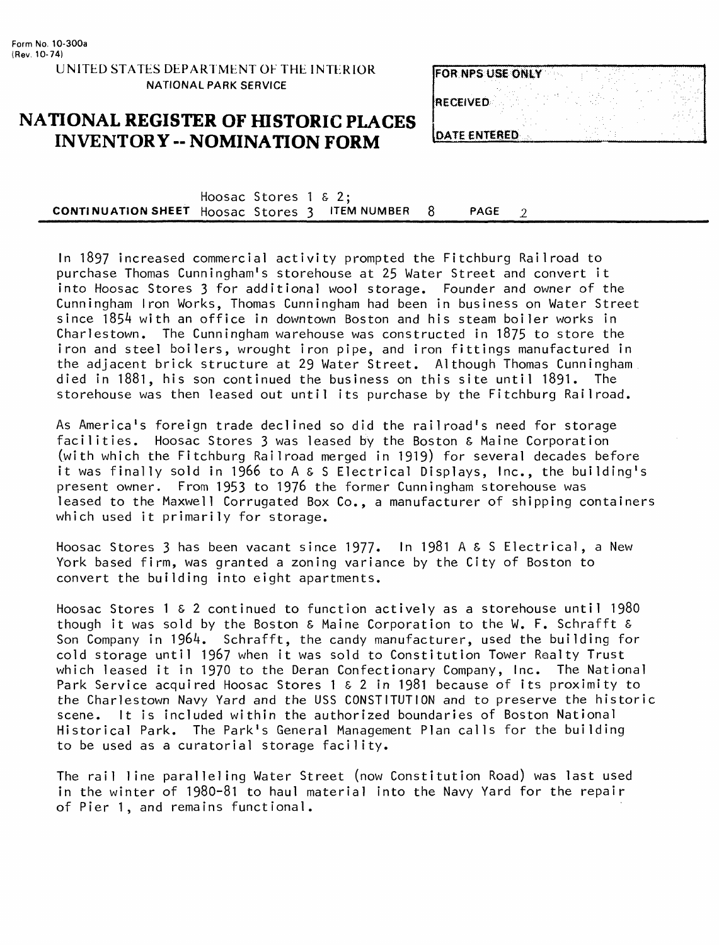### UNITED STATES DEPARTMENT OF THE INTERIOR NATIONAL PARK SERVICE

### **NATIONAL REGISTER OF HISTORIC PLACES INVENTORY -- NOMINATION FORM**

| FOR NPS USE ONLY     |  |  |  |
|----------------------|--|--|--|
| <b>RECEIVED</b>      |  |  |  |
| <b>IDATE ENTERED</b> |  |  |  |

Hoosac Stores 1 & 2; **CONTINUATION SHEET** Hoosac Stores 3 ITEM NUMBER 8 PAGE 2

In 1897 increased commercial activity prompted the Fitchburg Railroad to purchase Thomas Cunningham's storehouse at 25 Water Street and convert it into Hoosac Stores 3 for additional wool storage. Founder and owner of the Cunningham Iron Works, Thomas Cunningham had been in business on Water Street since 1854 with an office in downtown Boston and his steam boiler works in Charlestown. The Cunningham warehouse was constructed in 1875 to store the iron and steel boilers, wrought iron pipe, and iron fittings manufactured in the adjacent brick structure at 29 Water Street. Although Thomas Cunningham died in 1881, his son continued the business on this site until 1891. The storehouse was then leased out until its purchase by the Fitchburg Railroad.

As America's foreign trade declined so did the railroad's need for storage facilities. Hoosac Stores 3 was leased by the Boston & Maine Corporation (with which the Fitchburg Railroad merged in 1919) for several decades before it was finally sold in 1966 to A & S Electrical Displays, Inc., the building's present owner. From 1953 to 1976 the former Cunningham storehouse was leased to the Maxwell Corrugated Box Co., a manufacturer of shipping containers which used it primarily for storage.

Hoosac Stores 3 has been vacant since 1977. In 1981 A & S Electrical, a New York based firm, was granted a zoning variance by the City of Boston to convert the building into eight apartments.

Hoosac Stores 1 & 2 continued to function actively as a storehouse until 1980 though it was sold by the Boston & Maine Corporation to the W. F. Schrafft & Son Company in 1964. Schrafft, the candy manufacturer, used the building for cold storage until 1967 when it was sold to Constitution Tower Realty Trust which leased it in 1970 to the Deran Confectionary Company, Inc. The National Park Service acquired Hoosac Stores 1 & 2 in 1981 because of its proximity to the Charlestown Navy Yard and the USS CONSTITUTION and to preserve the historic scene. It is included within the authorized boundaries of Boston National Historical Park. The Park's General Management Plan calls for the building to be used as a curatorial storage facility.

The rail line paralleling Water Street (now Constitution Road) was last used in the winter of 1980-81 to haul material into the Navy Yard for the repair of Pier 1, and remains functional.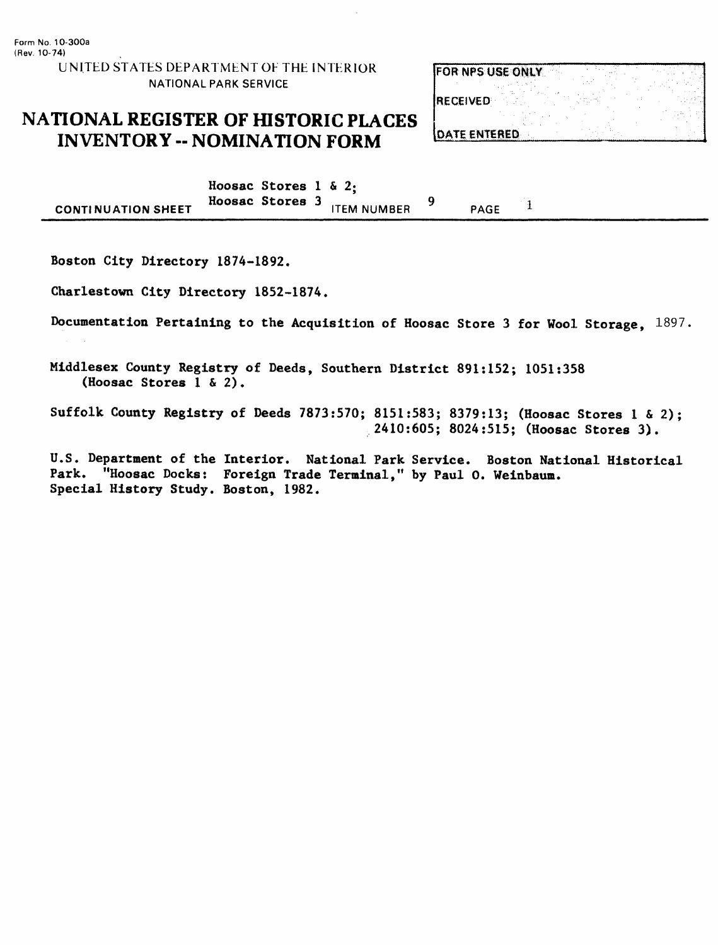## NATIONAL REGISTER OF HISTORIC PLACES INVENTORY - NOMINATION FORM

| FOR NPS USE ONLY    |  |  |
|---------------------|--|--|
| RECEIVED            |  |  |
| <b>NATE ENTERED</b> |  |  |

Hoosac Stores 1 & 2;<br>Hoosac Stores 3 9 **ITEM NUMBER**  $\mathbf{1}$ **CONTINUATION SHEET** PAGE

Boston City Directory 1874-1892,

Charlestown City Directory 1852-1874.

Documentation Pertaining to the Acquisition of Hoosac Store 3 for Wool Storage,  $1897$ .

Middlesex County Registry of Deeds, Southern District 891:152; 1051:358 (Hoosac Stores 1 & 2).

Suffolk County Registry of Deeds 7873:570; 8151:583; 8379:13; (Hoosac Stores 1 & 2); 2410:605; 8024:515; (Hoosac Stores 3).

U.S. Department of the Interior. National Park Service. Boston National Historical Park. "Hoosac Docks: Foreign Trade Terminal," by Paul 0. Weinbaum. Special History Study. Boston, 1982.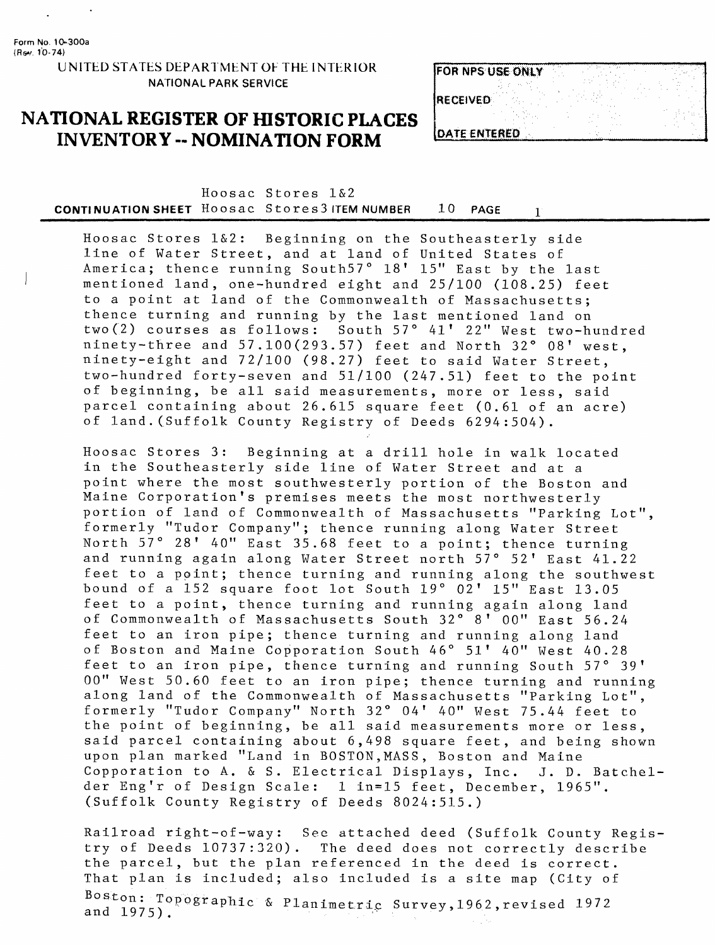### UNITED STATES DEPARTMENT OF THE INTERIOR NATIONAL PARK SERVICE

### **NATIONAL REGISTER OF HISTORIC PLACES INVENTORY -- NOMINATION FORM**

| <b>FOR NPS USE ONLY</b> |  |  |  |
|-------------------------|--|--|--|
| <b>IRECEIVED</b>        |  |  |  |
|                         |  |  |  |
| <b>IDATE ENTERED</b>    |  |  |  |

Hoosac Stores 1&2 **CONTINUATION SHEET** Hoosac Stores 3 ITEM NUMBER 10 PAGE 1

Hoosac Stores 1&2: Beginning on the Southeasterly side line of Water Street, and at land of United States of America; thence running South57° 18' 15" East by the last mentioned land, one-hundred eight and 25/100 (108.25) feet to a point at land of the Commonwealth of Massachusetts; thence turning and running by the last mentioned land on two(2) courses as follows: South 57° 41' 22" West two-hundred  $n$ inety-three and  $57.100(293.57)$  feet and North  $32°08'$  west, ninety-eight and 72/100 (98.27) feet to said Water Street, two-hundred forty-seven and 51/100 (247.51) feet to the point of beginning, be all said measurements, more or less, said parcel containing about 26.615 square feet (0.61 of an acre) of land.(Suffolk County Registry of Deeds 6294:504).

Hoosac Stores 3: Beginning at a drill hole in walk located in the Southeasterly side line of Water Street and at a point where the most southwesterly portion of the Boston and Maine Corporation's premises meets the most northwesterly portion of land of Commonwealth of Massachusetts "Parking Lot", formerly "Tudor Company"; thence running along Water Street North 57° 28' 40" East 35.68 feet to a point; thence turning and running again along Water Street north 57° 52' East 41.22 feet to a point; thence turning and running along the southwest bound of a 152 square foot lot South 19° 02' 15" East 13.05 feet to a point, thence turning and running again along land of Commonwealth of Massachusetts South 32° 8' 00" East 56.24 feet to an iron pipe; thence turning and running along land of Boston and Maine Copporation South 46° 51' 40" West 40.28 feet to an iron pipe, thence turning and running South 57° 39' 00" West 50.60 feet to an iron pipe; thence turning and running along land of the Commonwealth of Massachusetts "Parking Lot", formerly "Tudor Company" North 32° 04' 40" West 75.44 feet to the point of beginning, be all said measurements more or less, said parcel containing about 6,498 square feet, and being shown upon plan marked "Land in BOSTON,MASS, Boston and Maine Copporation to A. & S. Electrical Displays, Inc. J. D. Batchelder Eng'r of Design Scale: 1 in=15 feet, December, 1965". (Suffolk County Registry of Deeds 8024:515.)

Railroad right-of-way: See attached deed (Suffolk County Registry of Deeds 10737:320). The deed does not correctly describe the parcel, but the plan referenced in the deed is correct. That plan is included; also included is a site map (City of Boston: Topographic & Planimetric Survey, 1962, revised 1972 and 1975).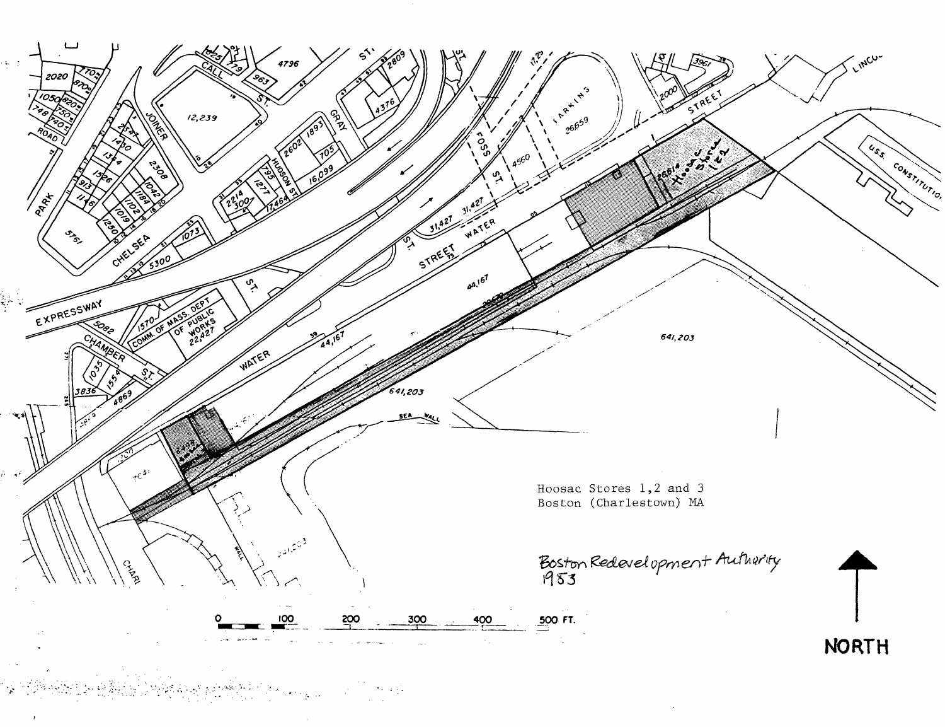